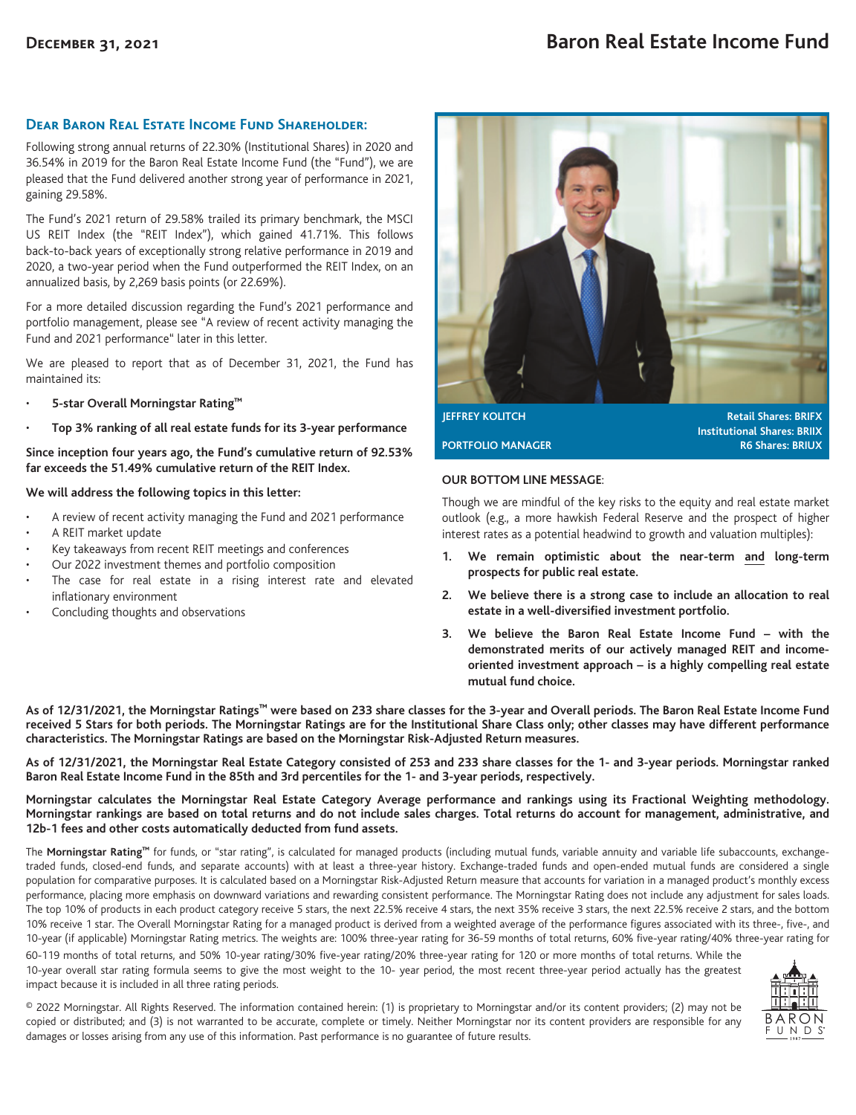# **Dear Baron Real Estate Income Fund Shareholder:**

Following strong annual returns of 22.30% (Institutional Shares) in 2020 and 36.54% in 2019 for the Baron Real Estate Income Fund (the "Fund"), we are pleased that the Fund delivered another strong year of performance in 2021, gaining 29.58%.

The Fund's 2021 return of 29.58% trailed its primary benchmark, the MSCI US REIT Index (the "REIT Index"), which gained 41.71%. This follows back-to-back years of exceptionally strong relative performance in 2019 and 2020, a two-year period when the Fund outperformed the REIT Index, on an annualized basis, by 2,269 basis points (or 22.69%).

For a more detailed discussion regarding the Fund's 2021 performance and portfolio management, please see "A review of recent activity managing the Fund and 2021 performance" later in this letter.

We are pleased to report that as of December 31, 2021, the Fund has maintained its:

- **5-star Overall Morningstar Rating™**
- **Top 3% ranking of all real estate funds for its 3-year performance**

**Since inception four years ago, the Fund's cumulative return of 92.53% far exceeds the 51.49% cumulative return of the REIT Index.**

## **We will address the following topics in this letter:**

- A review of recent activity managing the Fund and 2021 performance
- A REIT market update
- Key takeaways from recent REIT meetings and conferences
- Our 2022 investment themes and portfolio composition
- The case for real estate in a rising interest rate and elevated inflationary environment
- Concluding thoughts and observations



**JEFFREY KOLITCH Retail Shares: BRIFX Institutional Shares: BRIIX PORTFOLIO MANAGER R6 Shares: BRIUX** 

## **OUR BOTTOM LINE MESSAGE**:

Though we are mindful of the key risks to the equity and real estate market outlook (e.g., a more hawkish Federal Reserve and the prospect of higher interest rates as a potential headwind to growth and valuation multiples):

- **1. We remain optimistic about the near-term and long-term prospects for public real estate.**
- **2. We believe there is a strong case to include an allocation to real estate in a well-diversified investment portfolio.**
- **3. We believe the Baron Real Estate Income Fund with the demonstrated merits of our actively managed REIT and incomeoriented investment approach – is a highly compelling real estate mutual fund choice.**

**As of 12/31/2021, the Morningstar Ratings™ were based on 233 share classes for the 3-year and Overall periods. The Baron Real Estate Income Fund received 5 Stars for both periods. The Morningstar Ratings are for the Institutional Share Class only; other classes may have different performance characteristics. The Morningstar Ratings are based on the Morningstar Risk-Adjusted Return measures.**

**As of 12/31/2021, the Morningstar Real Estate Category consisted of 253 and 233 share classes for the 1- and 3-year periods. Morningstar ranked Baron Real Estate Income Fund in the 85th and 3rd percentiles for the 1- and 3-year periods, respectively.**

**Morningstar calculates the Morningstar Real Estate Category Average performance and rankings using its Fractional Weighting methodology. Morningstar rankings are based on total returns and do not include sales charges. Total returns do account for management, administrative, and 12b-1 fees and other costs automatically deducted from fund assets.**

The **Morningstar Rating™** for funds, or "star rating", is calculated for managed products (including mutual funds, variable annuity and variable life subaccounts, exchangetraded funds, closed-end funds, and separate accounts) with at least a three-year history. Exchange-traded funds and open-ended mutual funds are considered a single population for comparative purposes. It is calculated based on a Morningstar Risk-Adjusted Return measure that accounts for variation in a managed product's monthly excess performance, placing more emphasis on downward variations and rewarding consistent performance. The Morningstar Rating does not include any adjustment for sales loads. The top 10% of products in each product category receive 5 stars, the next 22.5% receive 4 stars, the next 35% receive 3 stars, the next 22.5% receive 2 stars, and the bottom 10% receive 1 star. The Overall Morningstar Rating for a managed product is derived from a weighted average of the performance figures associated with its three-, five-, and 10-year (if applicable) Morningstar Rating metrics. The weights are: 100% three-year rating for 36-59 months of total returns, 60% five-year rating/40% three-year rating for

60-119 months of total returns, and 50% 10-year rating/30% five-year rating/20% three-year rating for 120 or more months of total returns. While the 10-year overall star rating formula seems to give the most weight to the 10- year period, the most recent three-year period actually has the greatest impact because it is included in all three rating periods.



© 2022 Morningstar. All Rights Reserved. The information contained herein: (1) is proprietary to Morningstar and/or its content providers; (2) may not be copied or distributed; and (3) is not warranted to be accurate, complete or timely. Neither Morningstar nor its content providers are responsible for any damages or losses arising from any use of this information. Past performance is no guarantee of future results.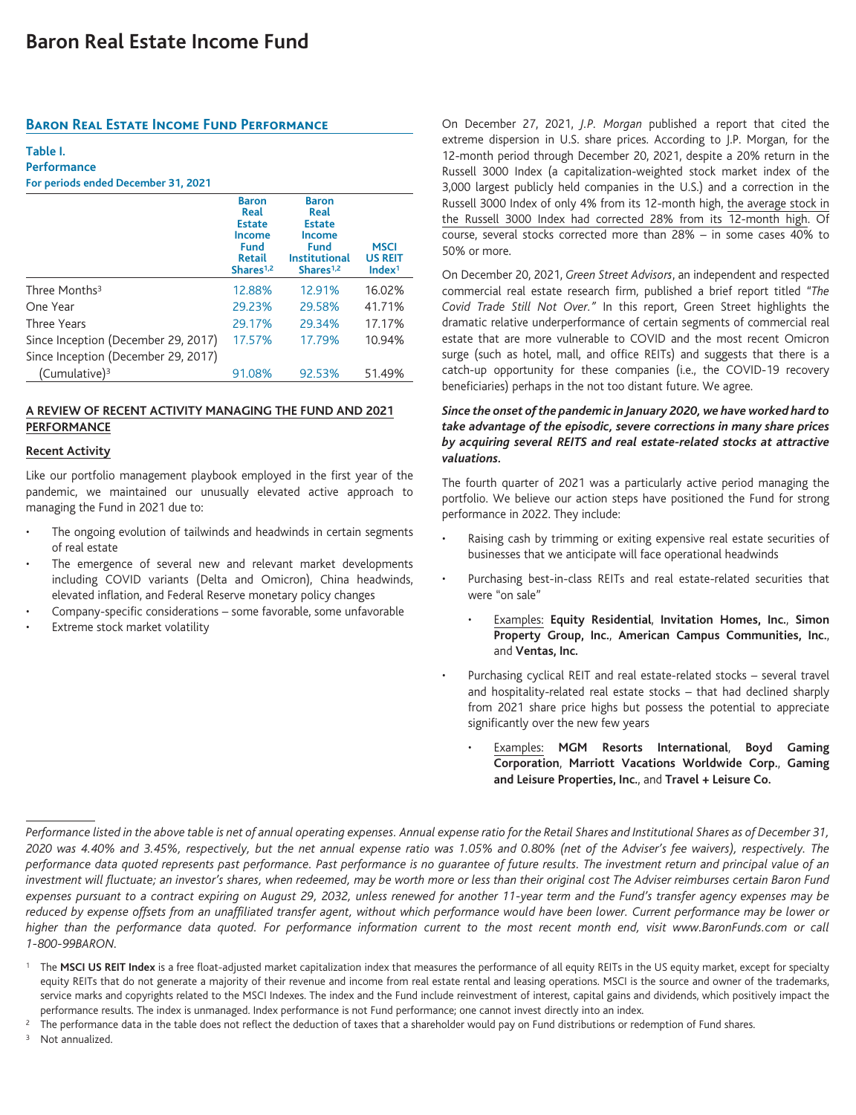# **Baron Real Estate Income Fund Performance**

## **Table I.**

**Performance For periods ended December 31, 2021**

|                                     | <b>Baron</b><br>Real<br><b>Estate</b><br><b>Income</b><br><b>Fund</b><br><b>Retail</b><br>Shares <sup>1,2</sup> | <b>Baron</b><br>Real<br><b>Estate</b><br><b>Income</b><br>Fund<br><b>Institutional</b><br>Shares <sup>1,2</sup> | <b>MSCI</b><br><b>US REIT</b><br>Index <sup>1</sup> |
|-------------------------------------|-----------------------------------------------------------------------------------------------------------------|-----------------------------------------------------------------------------------------------------------------|-----------------------------------------------------|
| Three Months <sup>3</sup>           | 12.88%                                                                                                          | 12.91%                                                                                                          | 16.02%                                              |
| One Year                            | 29.23%                                                                                                          | 29.58%                                                                                                          | 41.71%                                              |
| Three Years                         | 29.17%                                                                                                          | 29.34%                                                                                                          | 17.17%                                              |
| Since Inception (December 29, 2017) | 17.57%                                                                                                          | 17.79%                                                                                                          | 10.94%                                              |
| Since Inception (December 29, 2017) |                                                                                                                 |                                                                                                                 |                                                     |
| (Cumulative) <sup>3</sup>           | 91.08%                                                                                                          | 92.53%                                                                                                          | 51.49%                                              |

# **A REVIEW OF RECENT ACTIVITY MANAGING THE FUND AND 2021 PERFORMANCE**

## **Recent Activity**

Like our portfolio management playbook employed in the first year of the pandemic, we maintained our unusually elevated active approach to managing the Fund in 2021 due to:

- The ongoing evolution of tailwinds and headwinds in certain segments of real estate
- The emergence of several new and relevant market developments including COVID variants (Delta and Omicron), China headwinds, elevated inflation, and Federal Reserve monetary policy changes
- Company-specific considerations some favorable, some unfavorable
- Extreme stock market volatility

On December 27, 2021, *J.P. Morgan* published a report that cited the extreme dispersion in U.S. share prices. According to J.P. Morgan, for the 12-month period through December 20, 2021, despite a 20% return in the Russell 3000 Index (a capitalization-weighted stock market index of the 3,000 largest publicly held companies in the U.S.) and a correction in the Russell 3000 Index of only 4% from its 12-month high, the average stock in the Russell 3000 Index had corrected 28% from its 12-month high. Of course, several stocks corrected more than 28% – in some cases 40% to 50% or more.

On December 20, 2021, *Green Street Advisors*, an independent and respected commercial real estate research firm, published a brief report titled *"The Covid Trade Still Not Over."* In this report, Green Street highlights the dramatic relative underperformance of certain segments of commercial real estate that are more vulnerable to COVID and the most recent Omicron surge (such as hotel, mall, and office REITs) and suggests that there is a catch-up opportunity for these companies (i.e., the COVID-19 recovery beneficiaries) perhaps in the not too distant future. We agree.

# *Since the onset of the pandemic in January 2020, we have worked hard to take advantage of the episodic, severe corrections in many share prices by acquiring several REITS and real estate-related stocks at attractive valuations.*

The fourth quarter of 2021 was a particularly active period managing the portfolio. We believe our action steps have positioned the Fund for strong performance in 2022. They include:

- Raising cash by trimming or exiting expensive real estate securities of businesses that we anticipate will face operational headwinds
- Purchasing best-in-class REITs and real estate-related securities that were "on sale"
	- Examples: **Equity Residential**, **Invitation Homes, Inc.**, **Simon Property Group, Inc.**, **American Campus Communities, Inc.**, and **Ventas, Inc.**
- Purchasing cyclical REIT and real estate-related stocks several travel and hospitality-related real estate stocks – that had declined sharply from 2021 share price highs but possess the potential to appreciate significantly over the new few years
	- Examples: **MGM Resorts International**, **Boyd Gaming Corporation**, **Marriott Vacations Worldwide Corp.**, **Gaming and Leisure Properties, Inc.**, and **Travel + Leisure Co.**

<sup>3</sup> Not annualized.

*Performance listed in the above table is net of annual operating expenses. Annual expense ratio for the Retail Shares and Institutional Shares as of December 31, 2020 was 4.40% and 3.45%, respectively, but the net annual expense ratio was 1.05% and 0.80% (net of the Adviser's fee waivers), respectively. The performance data quoted represents past performance. Past performance is no guarantee of future results. The investment return and principal value of an investment will fluctuate; an investor's shares, when redeemed, may be worth more or less than their original cost The Adviser reimburses certain Baron Fund expenses pursuant to a contract expiring on August 29, 2032, unless renewed for another 11-year term and the Fund's transfer agency expenses may be reduced by expense offsets from an unaffiliated transfer agent, without which performance would have been lower. Current performance may be lower or higher than the performance data quoted. For performance information current to the most recent month end, visit www.BaronFunds.com or call 1-800-99BARON.*

<sup>&</sup>lt;sup>1</sup> The MSCI US REIT Index is a free float-adjusted market capitalization index that measures the performance of all equity REITs in the US equity market, except for specialty equity REITs that do not generate a majority of their revenue and income from real estate rental and leasing operations. MSCI is the source and owner of the trademarks, service marks and copyrights related to the MSCI Indexes. The index and the Fund include reinvestment of interest, capital gains and dividends, which positively impact the performance results. The index is unmanaged. Index performance is not Fund performance; one cannot invest directly into an index.

<sup>2</sup> The performance data in the table does not reflect the deduction of taxes that a shareholder would pay on Fund distributions or redemption of Fund shares.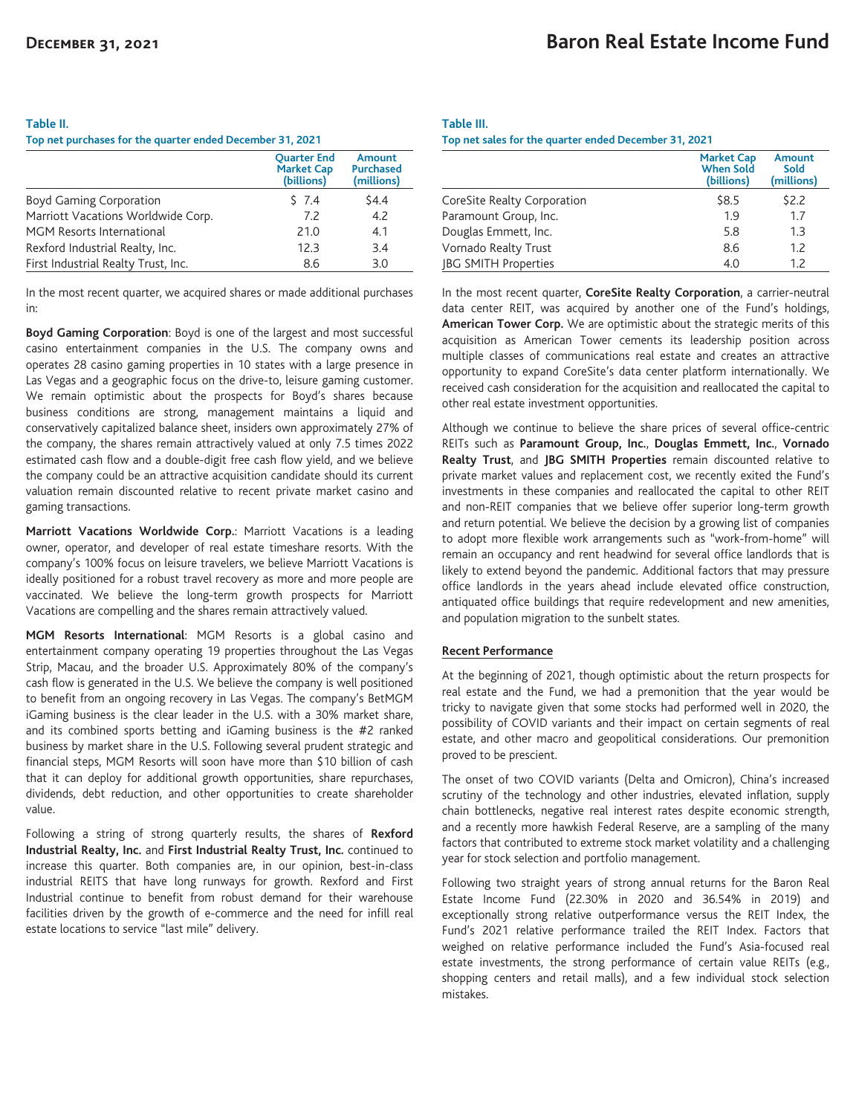#### **Table II.**

**Top net purchases for the quarter ended December 31, 2021**

|                                     | <b>Ouarter End</b><br><b>Market Cap</b><br>(billions) | <b>Amount</b><br><b>Purchased</b><br>(millions) |
|-------------------------------------|-------------------------------------------------------|-------------------------------------------------|
| <b>Boyd Gaming Corporation</b>      | 57.4                                                  | \$4.4                                           |
| Marriott Vacations Worldwide Corp.  | 7.2                                                   | 4.2                                             |
| MGM Resorts International           | 21.0                                                  | 4.1                                             |
| Rexford Industrial Realty, Inc.     | 12.3                                                  | 3.4                                             |
| First Industrial Realty Trust, Inc. | 8.6                                                   | 3.0                                             |

In the most recent quarter, we acquired shares or made additional purchases in:

**Boyd Gaming Corporation**: Boyd is one of the largest and most successful casino entertainment companies in the U.S. The company owns and operates 28 casino gaming properties in 10 states with a large presence in Las Vegas and a geographic focus on the drive-to, leisure gaming customer. We remain optimistic about the prospects for Boyd's shares because business conditions are strong, management maintains a liquid and conservatively capitalized balance sheet, insiders own approximately 27% of the company, the shares remain attractively valued at only 7.5 times 2022 estimated cash flow and a double-digit free cash flow yield, and we believe the company could be an attractive acquisition candidate should its current valuation remain discounted relative to recent private market casino and gaming transactions.

**Marriott Vacations Worldwide Corp.**: Marriott Vacations is a leading owner, operator, and developer of real estate timeshare resorts. With the company's 100% focus on leisure travelers, we believe Marriott Vacations is ideally positioned for a robust travel recovery as more and more people are vaccinated. We believe the long-term growth prospects for Marriott Vacations are compelling and the shares remain attractively valued.

**MGM Resorts International**: MGM Resorts is a global casino and entertainment company operating 19 properties throughout the Las Vegas Strip, Macau, and the broader U.S. Approximately 80% of the company's cash flow is generated in the U.S. We believe the company is well positioned to benefit from an ongoing recovery in Las Vegas. The company's BetMGM iGaming business is the clear leader in the U.S. with a 30% market share, and its combined sports betting and iGaming business is the #2 ranked business by market share in the U.S. Following several prudent strategic and financial steps, MGM Resorts will soon have more than \$10 billion of cash that it can deploy for additional growth opportunities, share repurchases, dividends, debt reduction, and other opportunities to create shareholder value.

Following a string of strong quarterly results, the shares of **Rexford Industrial Realty, Inc.** and **First Industrial Realty Trust, Inc.** continued to increase this quarter. Both companies are, in our opinion, best-in-class industrial REITS that have long runways for growth. Rexford and First Industrial continue to benefit from robust demand for their warehouse facilities driven by the growth of e-commerce and the need for infill real estate locations to service "last mile" delivery.

# **Table III. Top net sales for the quarter ended December 31, 2021**

|                             | <b>Market Cap</b><br><b>When Sold</b><br>(billions) | Amount<br>Sold<br>(millions) |
|-----------------------------|-----------------------------------------------------|------------------------------|
| CoreSite Realty Corporation | \$8.5                                               | \$2.2                        |
| Paramount Group, Inc.       | 1.9                                                 | 1.7                          |
| Douglas Emmett, Inc.        | 5.8                                                 | 1.3                          |
| Vornado Realty Trust        | 8.6                                                 | 1.2                          |
| <b>JBG SMITH Properties</b> | 4.0                                                 | 1.7                          |

In the most recent quarter, **CoreSite Realty Corporation**, a carrier-neutral data center REIT, was acquired by another one of the Fund's holdings, **American Tower Corp.** We are optimistic about the strategic merits of this acquisition as American Tower cements its leadership position across multiple classes of communications real estate and creates an attractive opportunity to expand CoreSite's data center platform internationally. We received cash consideration for the acquisition and reallocated the capital to other real estate investment opportunities.

Although we continue to believe the share prices of several office-centric REITs such as **Paramount Group, Inc.**, **Douglas Emmett, Inc.**, **Vornado Realty Trust**, and **JBG SMITH Properties** remain discounted relative to private market values and replacement cost, we recently exited the Fund's investments in these companies and reallocated the capital to other REIT and non-REIT companies that we believe offer superior long-term growth and return potential. We believe the decision by a growing list of companies to adopt more flexible work arrangements such as "work-from-home" will remain an occupancy and rent headwind for several office landlords that is likely to extend beyond the pandemic. Additional factors that may pressure office landlords in the years ahead include elevated office construction, antiquated office buildings that require redevelopment and new amenities, and population migration to the sunbelt states.

# **Recent Performance**

At the beginning of 2021, though optimistic about the return prospects for real estate and the Fund, we had a premonition that the year would be tricky to navigate given that some stocks had performed well in 2020, the possibility of COVID variants and their impact on certain segments of real estate, and other macro and geopolitical considerations. Our premonition proved to be prescient.

The onset of two COVID variants (Delta and Omicron), China's increased scrutiny of the technology and other industries, elevated inflation, supply chain bottlenecks, negative real interest rates despite economic strength, and a recently more hawkish Federal Reserve, are a sampling of the many factors that contributed to extreme stock market volatility and a challenging year for stock selection and portfolio management.

Following two straight years of strong annual returns for the Baron Real Estate Income Fund (22.30% in 2020 and 36.54% in 2019) and exceptionally strong relative outperformance versus the REIT Index, the Fund's 2021 relative performance trailed the REIT Index. Factors that weighed on relative performance included the Fund's Asia-focused real estate investments, the strong performance of certain value REITs (e.g., shopping centers and retail malls), and a few individual stock selection mistakes.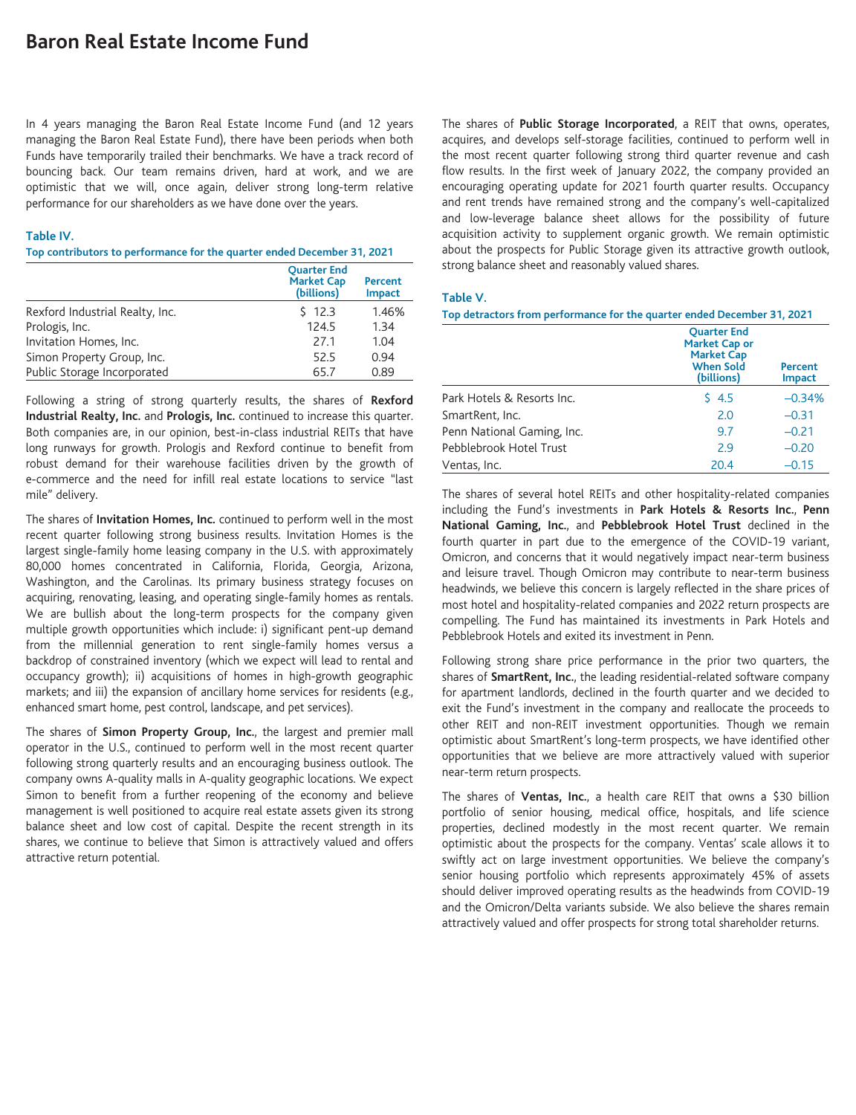# **Baron Real Estate Income Fund**

In 4 years managing the Baron Real Estate Income Fund (and 12 years managing the Baron Real Estate Fund), there have been periods when both Funds have temporarily trailed their benchmarks. We have a track record of bouncing back. Our team remains driven, hard at work, and we are optimistic that we will, once again, deliver strong long-term relative performance for our shareholders as we have done over the years.

## **Table IV.**

#### **Top contributors to performance for the quarter ended December 31, 2021**

|                                 | <b>Ouarter End</b><br><b>Market Cap</b><br>(billions) | Percent<br><b>Impact</b> |
|---------------------------------|-------------------------------------------------------|--------------------------|
| Rexford Industrial Realty, Inc. | \$12.3                                                | 1.46%                    |
| Prologis, Inc.                  | 124.5                                                 | 1.34                     |
| Invitation Homes, Inc.          | 27.1                                                  | 1.04                     |
| Simon Property Group, Inc.      | 52.5                                                  | 0.94                     |
| Public Storage Incorporated     | 65.7                                                  | 0.89                     |

Following a string of strong quarterly results, the shares of **Rexford Industrial Realty, Inc.** and **Prologis, Inc.** continued to increase this quarter. Both companies are, in our opinion, best-in-class industrial REITs that have long runways for growth. Prologis and Rexford continue to benefit from robust demand for their warehouse facilities driven by the growth of e-commerce and the need for infill real estate locations to service "last mile" delivery.

The shares of **Invitation Homes, Inc.** continued to perform well in the most recent quarter following strong business results. Invitation Homes is the largest single-family home leasing company in the U.S. with approximately 80,000 homes concentrated in California, Florida, Georgia, Arizona, Washington, and the Carolinas. Its primary business strategy focuses on acquiring, renovating, leasing, and operating single-family homes as rentals. We are bullish about the long-term prospects for the company given multiple growth opportunities which include: i) significant pent-up demand from the millennial generation to rent single-family homes versus a backdrop of constrained inventory (which we expect will lead to rental and occupancy growth); ii) acquisitions of homes in high-growth geographic markets; and iii) the expansion of ancillary home services for residents (e.g., enhanced smart home, pest control, landscape, and pet services).

The shares of **Simon Property Group, Inc.**, the largest and premier mall operator in the U.S., continued to perform well in the most recent quarter following strong quarterly results and an encouraging business outlook. The company owns A-quality malls in A-quality geographic locations. We expect Simon to benefit from a further reopening of the economy and believe management is well positioned to acquire real estate assets given its strong balance sheet and low cost of capital. Despite the recent strength in its shares, we continue to believe that Simon is attractively valued and offers attractive return potential.

The shares of **Public Storage Incorporated**, a REIT that owns, operates, acquires, and develops self-storage facilities, continued to perform well in the most recent quarter following strong third quarter revenue and cash flow results. In the first week of January 2022, the company provided an encouraging operating update for 2021 fourth quarter results. Occupancy and rent trends have remained strong and the company's well-capitalized and low-leverage balance sheet allows for the possibility of future acquisition activity to supplement organic growth. We remain optimistic about the prospects for Public Storage given its attractive growth outlook, strong balance sheet and reasonably valued shares.

# **Table V.**

**Top detractors from performance for the quarter ended December 31, 2021**

|                            | <b>Ouarter End</b><br><b>Market Cap or</b><br><b>Market Cap</b><br><b>When Sold</b><br>(billions) | Percent<br><b>Impact</b> |
|----------------------------|---------------------------------------------------------------------------------------------------|--------------------------|
| Park Hotels & Resorts Inc. | 54.5                                                                                              | $-0.34%$                 |
| SmartRent, Inc.            | 2.0                                                                                               | $-0.31$                  |
| Penn National Gaming, Inc. | 9.7                                                                                               | $-0.21$                  |
| Pebblebrook Hotel Trust    | 2.9                                                                                               | $-0.20$                  |
| Ventas, Inc.               | 20.4                                                                                              | $-0.15$                  |

The shares of several hotel REITs and other hospitality-related companies including the Fund's investments in **Park Hotels & Resorts Inc.**, **Penn National Gaming, Inc.**, and **Pebblebrook Hotel Trust** declined in the fourth quarter in part due to the emergence of the COVID-19 variant, Omicron, and concerns that it would negatively impact near-term business and leisure travel. Though Omicron may contribute to near-term business headwinds, we believe this concern is largely reflected in the share prices of most hotel and hospitality-related companies and 2022 return prospects are compelling. The Fund has maintained its investments in Park Hotels and Pebblebrook Hotels and exited its investment in Penn.

Following strong share price performance in the prior two quarters, the shares of **SmartRent, Inc.**, the leading residential-related software company for apartment landlords, declined in the fourth quarter and we decided to exit the Fund's investment in the company and reallocate the proceeds to other REIT and non-REIT investment opportunities. Though we remain optimistic about SmartRent's long-term prospects, we have identified other opportunities that we believe are more attractively valued with superior near-term return prospects.

The shares of **Ventas, Inc.**, a health care REIT that owns a \$30 billion portfolio of senior housing, medical office, hospitals, and life science properties, declined modestly in the most recent quarter. We remain optimistic about the prospects for the company. Ventas' scale allows it to swiftly act on large investment opportunities. We believe the company's senior housing portfolio which represents approximately 45% of assets should deliver improved operating results as the headwinds from COVID-19 and the Omicron/Delta variants subside. We also believe the shares remain attractively valued and offer prospects for strong total shareholder returns.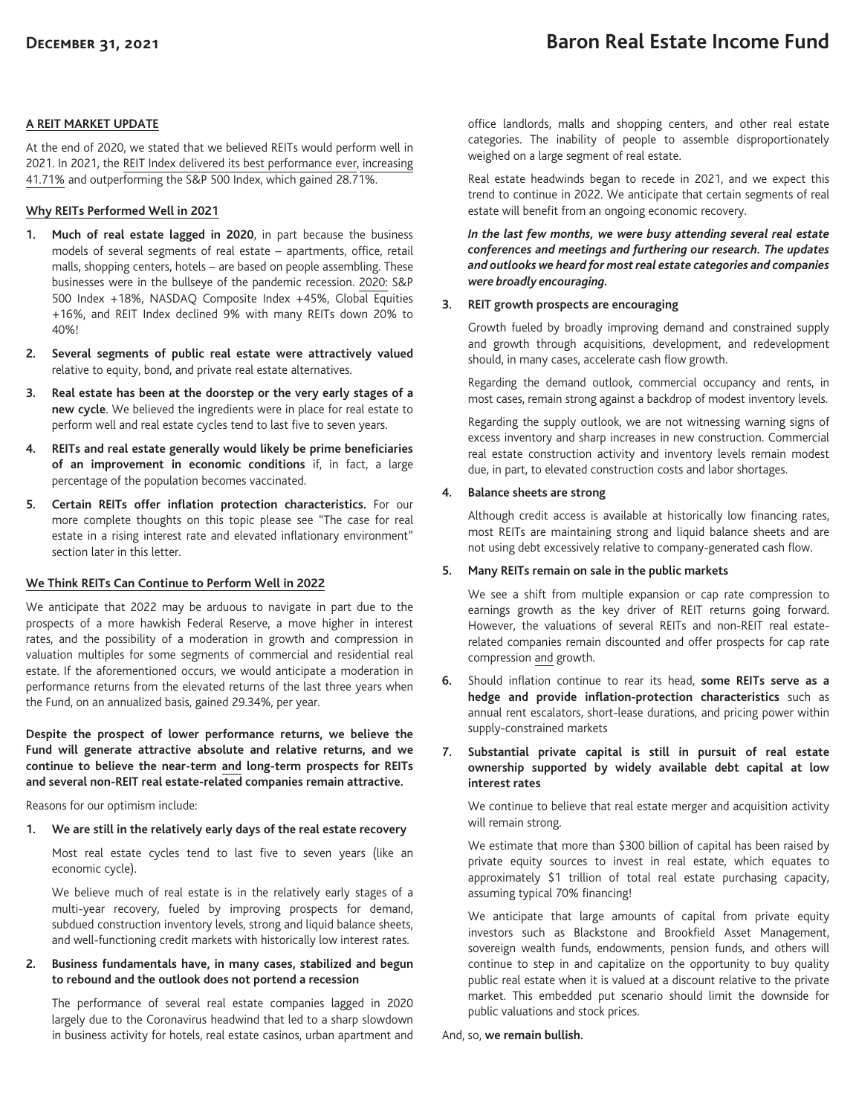# **A REIT MARKET UPDATE**

At the end of 2020, we stated that we believed REITs would perform well in 2021. In 2021, the REIT Index delivered its best performance ever, increasing 41.71% and outperforming the S&P 500 Index, which gained 28.71%.

# **Why REITs Performed Well in 2021**

- **1. Much of real estate lagged in 2020**, in part because the business models of several segments of real estate – apartments, office, retail malls, shopping centers, hotels – are based on people assembling. These businesses were in the bullseye of the pandemic recession. 2020: S&P 500 Index +18%, NASDAQ Composite Index +45%, Global Equities +16%, and REIT Index declined 9% with many REITs down 20% to 40%!
- **2. Several segments of public real estate were attractively valued** relative to equity, bond, and private real estate alternatives.
- **3. Real estate has been at the doorstep or the very early stages of a new cycle**. We believed the ingredients were in place for real estate to perform well and real estate cycles tend to last five to seven years.
- **4. REITs and real estate generally would likely be prime beneficiaries of an improvement in economic conditions** if, in fact, a large percentage of the population becomes vaccinated.
- **5. Certain REITs offer inflation protection characteristics.** For our more complete thoughts on this topic please see "The case for real estate in a rising interest rate and elevated inflationary environment" section later in this letter.

# **We Think REITs Can Continue to Perform Well in 2022**

We anticipate that 2022 may be arduous to navigate in part due to the prospects of a more hawkish Federal Reserve, a move higher in interest rates, and the possibility of a moderation in growth and compression in valuation multiples for some segments of commercial and residential real estate. If the aforementioned occurs, we would anticipate a moderation in performance returns from the elevated returns of the last three years when the Fund, on an annualized basis, gained 29.34%, per year.

**Despite the prospect of lower performance returns, we believe the Fund will generate attractive absolute and relative returns, and we continue to believe the near-term and long-term prospects for REITs and several non-REIT real estate-related companies remain attractive.**

Reasons for our optimism include:

**1. We are still in the relatively early days of the real estate recovery**

Most real estate cycles tend to last five to seven years (like an economic cycle).

We believe much of real estate is in the relatively early stages of a multi-year recovery, fueled by improving prospects for demand, subdued construction inventory levels, strong and liquid balance sheets, and well-functioning credit markets with historically low interest rates.

# **2. Business fundamentals have, in many cases, stabilized and begun to rebound and the outlook does not portend a recession**

The performance of several real estate companies lagged in 2020 largely due to the Coronavirus headwind that led to a sharp slowdown in business activity for hotels, real estate casinos, urban apartment and office landlords, malls and shopping centers, and other real estate categories. The inability of people to assemble disproportionately weighed on a large segment of real estate.

Real estate headwinds began to recede in 2021, and we expect this trend to continue in 2022. We anticipate that certain segments of real estate will benefit from an ongoing economic recovery.

*In the last few months, we were busy attending several real estate conferences and meetings and furthering our research. The updates and outlooks we heard for most real estate categories and companies were broadly encouraging.*

# **3. REIT growth prospects are encouraging**

Growth fueled by broadly improving demand and constrained supply and growth through acquisitions, development, and redevelopment should, in many cases, accelerate cash flow growth.

Regarding the demand outlook, commercial occupancy and rents, in most cases, remain strong against a backdrop of modest inventory levels.

Regarding the supply outlook, we are not witnessing warning signs of excess inventory and sharp increases in new construction. Commercial real estate construction activity and inventory levels remain modest due, in part, to elevated construction costs and labor shortages.

# **4. Balance sheets are strong**

Although credit access is available at historically low financing rates, most REITs are maintaining strong and liquid balance sheets and are not using debt excessively relative to company-generated cash flow.

# **5. Many REITs remain on sale in the public markets**

We see a shift from multiple expansion or cap rate compression to earnings growth as the key driver of REIT returns going forward. However, the valuations of several REITs and non-REIT real estaterelated companies remain discounted and offer prospects for cap rate compression and growth.

- **6.** Should inflation continue to rear its head, **some REITs serve as a hedge and provide inflation-protection characteristics** such as annual rent escalators, short-lease durations, and pricing power within supply-constrained markets
- **7. Substantial private capital is still in pursuit of real estate ownership supported by widely available debt capital at low interest rates**

We continue to believe that real estate merger and acquisition activity will remain strong.

We estimate that more than \$300 billion of capital has been raised by private equity sources to invest in real estate, which equates to approximately \$1 trillion of total real estate purchasing capacity, assuming typical 70% financing!

We anticipate that large amounts of capital from private equity investors such as Blackstone and Brookfield Asset Management, sovereign wealth funds, endowments, pension funds, and others will continue to step in and capitalize on the opportunity to buy quality public real estate when it is valued at a discount relative to the private market. This embedded put scenario should limit the downside for public valuations and stock prices.

And, so, **we remain bullish.**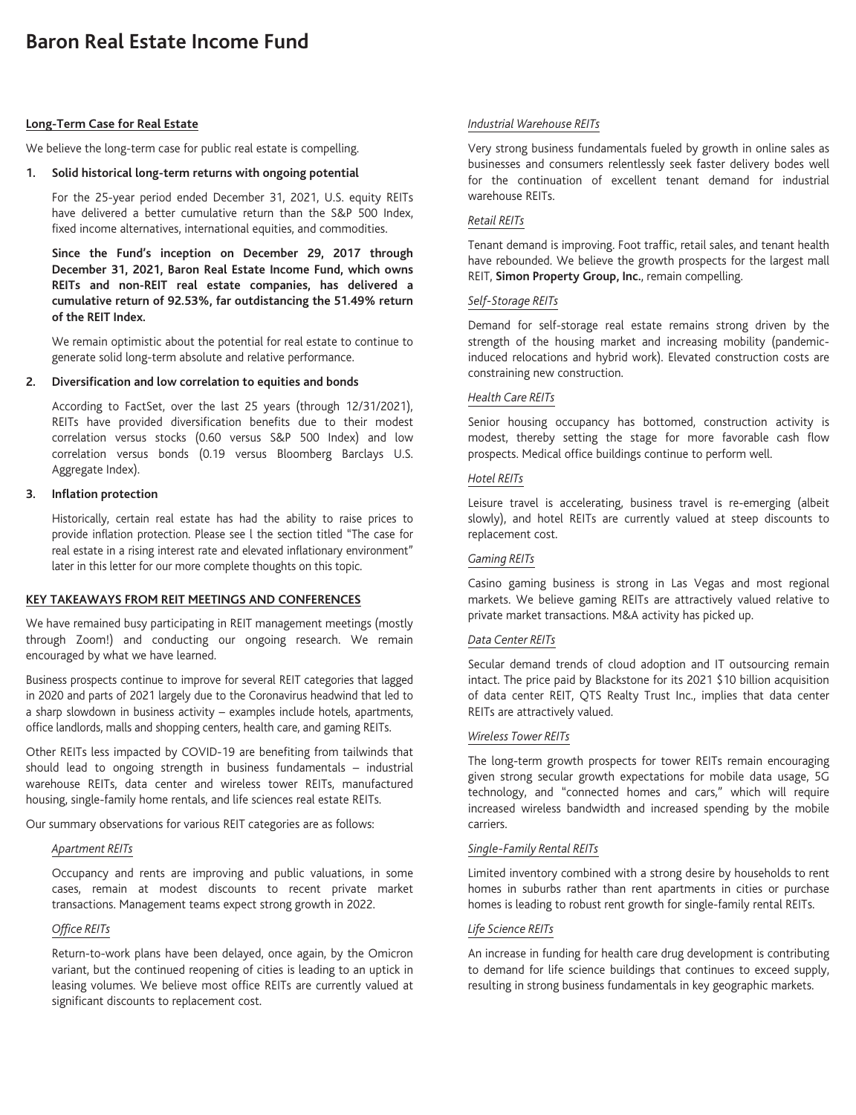# **Long-Term Case for Real Estate**

We believe the long-term case for public real estate is compelling.

## **1. Solid historical long-term returns with ongoing potential**

For the 25-year period ended December 31, 2021, U.S. equity REITs have delivered a better cumulative return than the S&P 500 Index, fixed income alternatives, international equities, and commodities.

**Since the Fund's inception on December 29, 2017 through December 31, 2021, Baron Real Estate Income Fund, which owns REITs and non-REIT real estate companies, has delivered a cumulative return of 92.53%, far outdistancing the 51.49% return of the REIT Index.**

We remain optimistic about the potential for real estate to continue to generate solid long-term absolute and relative performance.

#### **2. Diversification and low correlation to equities and bonds**

According to FactSet, over the last 25 years (through 12/31/2021), REITs have provided diversification benefits due to their modest correlation versus stocks (0.60 versus S&P 500 Index) and low correlation versus bonds (0.19 versus Bloomberg Barclays U.S. Aggregate Index).

## **3. Inflation protection**

Historically, certain real estate has had the ability to raise prices to provide inflation protection. Please see l the section titled "The case for real estate in a rising interest rate and elevated inflationary environment" later in this letter for our more complete thoughts on this topic.

## **KEY TAKEAWAYS FROM REIT MEETINGS AND CONFERENCES**

We have remained busy participating in REIT management meetings (mostly through Zoom!) and conducting our ongoing research. We remain encouraged by what we have learned.

Business prospects continue to improve for several REIT categories that lagged in 2020 and parts of 2021 largely due to the Coronavirus headwind that led to a sharp slowdown in business activity – examples include hotels, apartments, office landlords, malls and shopping centers, health care, and gaming REITs.

Other REITs less impacted by COVID-19 are benefiting from tailwinds that should lead to ongoing strength in business fundamentals – industrial warehouse REITs, data center and wireless tower REITs, manufactured housing, single-family home rentals, and life sciences real estate REITs.

Our summary observations for various REIT categories are as follows:

# *Apartment REITs*

Occupancy and rents are improving and public valuations, in some cases, remain at modest discounts to recent private market transactions. Management teams expect strong growth in 2022.

# *Office REITs*

Return-to-work plans have been delayed, once again, by the Omicron variant, but the continued reopening of cities is leading to an uptick in leasing volumes. We believe most office REITs are currently valued at significant discounts to replacement cost.

## *Industrial Warehouse REITs*

Very strong business fundamentals fueled by growth in online sales as businesses and consumers relentlessly seek faster delivery bodes well for the continuation of excellent tenant demand for industrial warehouse REITs.

# *Retail REITs*

Tenant demand is improving. Foot traffic, retail sales, and tenant health have rebounded. We believe the growth prospects for the largest mall REIT, **Simon Property Group, Inc.**, remain compelling.

## *Self-Storage REITs*

Demand for self-storage real estate remains strong driven by the strength of the housing market and increasing mobility (pandemicinduced relocations and hybrid work). Elevated construction costs are constraining new construction.

# *Health Care REITs*

Senior housing occupancy has bottomed, construction activity is modest, thereby setting the stage for more favorable cash flow prospects. Medical office buildings continue to perform well.

#### *Hotel REITs*

Leisure travel is accelerating, business travel is re-emerging (albeit slowly), and hotel REITs are currently valued at steep discounts to replacement cost.

# *Gaming REITs*

Casino gaming business is strong in Las Vegas and most regional markets. We believe gaming REITs are attractively valued relative to private market transactions. M&A activity has picked up.

### *Data Center REITs*

Secular demand trends of cloud adoption and IT outsourcing remain intact. The price paid by Blackstone for its 2021 \$10 billion acquisition of data center REIT, QTS Realty Trust Inc., implies that data center REITs are attractively valued.

## *Wireless Tower REITs*

The long-term growth prospects for tower REITs remain encouraging given strong secular growth expectations for mobile data usage, 5G technology, and "connected homes and cars," which will require increased wireless bandwidth and increased spending by the mobile carriers.

## *Single-Family Rental REITs*

Limited inventory combined with a strong desire by households to rent homes in suburbs rather than rent apartments in cities or purchase homes is leading to robust rent growth for single-family rental REITs.

# *Life Science REITs*

An increase in funding for health care drug development is contributing to demand for life science buildings that continues to exceed supply, resulting in strong business fundamentals in key geographic markets.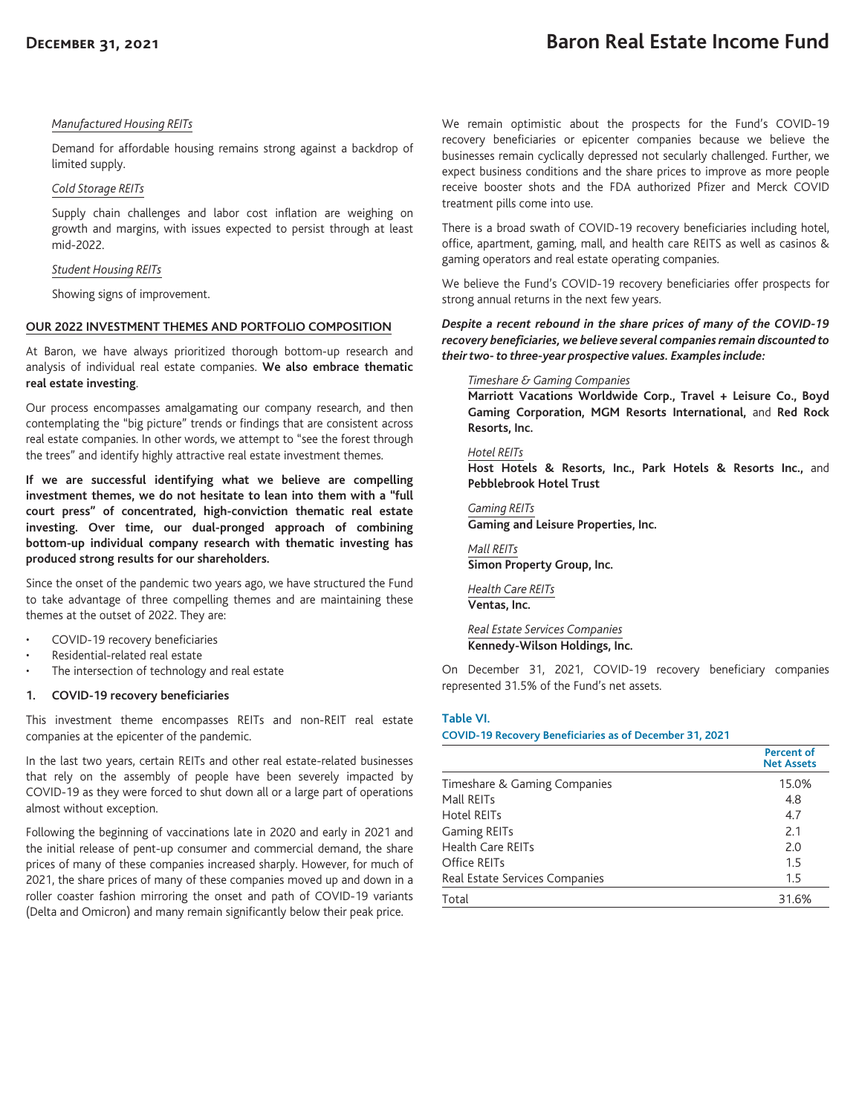# **Baron Real Estate Income Fund**

## *Manufactured Housing REITs*

Demand for affordable housing remains strong against a backdrop of limited supply.

## *Cold Storage REITs*

Supply chain challenges and labor cost inflation are weighing on growth and margins, with issues expected to persist through at least mid-2022.

## *Student Housing REITs*

Showing signs of improvement.

## **OUR 2022 INVESTMENT THEMES AND PORTFOLIO COMPOSITION**

At Baron, we have always prioritized thorough bottom-up research and analysis of individual real estate companies. **We also embrace thematic real estate investing**.

Our process encompasses amalgamating our company research, and then contemplating the "big picture" trends or findings that are consistent across real estate companies. In other words, we attempt to "see the forest through the trees" and identify highly attractive real estate investment themes.

**If we are successful identifying what we believe are compelling investment themes, we do not hesitate to lean into them with a "full court press" of concentrated, high-conviction thematic real estate investing. Over time, our dual-pronged approach of combining bottom-up individual company research with thematic investing has produced strong results for our shareholders.**

Since the onset of the pandemic two years ago, we have structured the Fund to take advantage of three compelling themes and are maintaining these themes at the outset of 2022. They are:

- COVID-19 recovery beneficiaries
- Residential-related real estate
- The intersection of technology and real estate

## **1. COVID-19 recovery beneficiaries**

This investment theme encompasses REITs and non-REIT real estate companies at the epicenter of the pandemic.

In the last two years, certain REITs and other real estate-related businesses that rely on the assembly of people have been severely impacted by COVID-19 as they were forced to shut down all or a large part of operations almost without exception.

Following the beginning of vaccinations late in 2020 and early in 2021 and the initial release of pent-up consumer and commercial demand, the share prices of many of these companies increased sharply. However, for much of 2021, the share prices of many of these companies moved up and down in a roller coaster fashion mirroring the onset and path of COVID-19 variants (Delta and Omicron) and many remain significantly below their peak price.

We remain optimistic about the prospects for the Fund's COVID-19 recovery beneficiaries or epicenter companies because we believe the businesses remain cyclically depressed not secularly challenged. Further, we expect business conditions and the share prices to improve as more people receive booster shots and the FDA authorized Pfizer and Merck COVID treatment pills come into use.

There is a broad swath of COVID-19 recovery beneficiaries including hotel, office, apartment, gaming, mall, and health care REITS as well as casinos & gaming operators and real estate operating companies.

We believe the Fund's COVID-19 recovery beneficiaries offer prospects for strong annual returns in the next few years.

*Despite a recent rebound in the share prices of many of the COVID-19 recovery beneficiaries, we believe several companies remain discounted to their two- to three-year prospective values. Examples include:*

#### *Timeshare & Gaming Companies*

**Marriott Vacations Worldwide Corp., Travel + Leisure Co., Boyd Gaming Corporation, MGM Resorts International,** and **Red Rock Resorts, Inc.**

#### *Hotel REITs*

**Host Hotels & Resorts, Inc., Park Hotels & Resorts Inc.,** and **Pebblebrook Hotel Trust**

*Gaming REITs* **Gaming and Leisure Properties, Inc.**

*Mall REITs* **Simon Property Group, Inc.**

*Health Care REITs* **Ventas, Inc.**

*Real Estate Services Companies* **Kennedy-Wilson Holdings, Inc.**

On December 31, 2021, COVID-19 recovery beneficiary companies represented 31.5% of the Fund's net assets.

#### **Table VI.**

#### **COVID-19 Recovery Beneficiaries as of December 31, 2021**

|                                | <b>Percent of</b><br><b>Net Assets</b> |
|--------------------------------|----------------------------------------|
| Timeshare & Gaming Companies   | 15.0%                                  |
| Mall REITs                     | 4.8                                    |
| Hotel REITs                    | 4.7                                    |
| <b>Gaming REITs</b>            | 2.1                                    |
| <b>Health Care REITs</b>       | 2.0                                    |
| Office REITs                   | 1.5                                    |
| Real Estate Services Companies | 1.5                                    |
| Total                          | 31.6%                                  |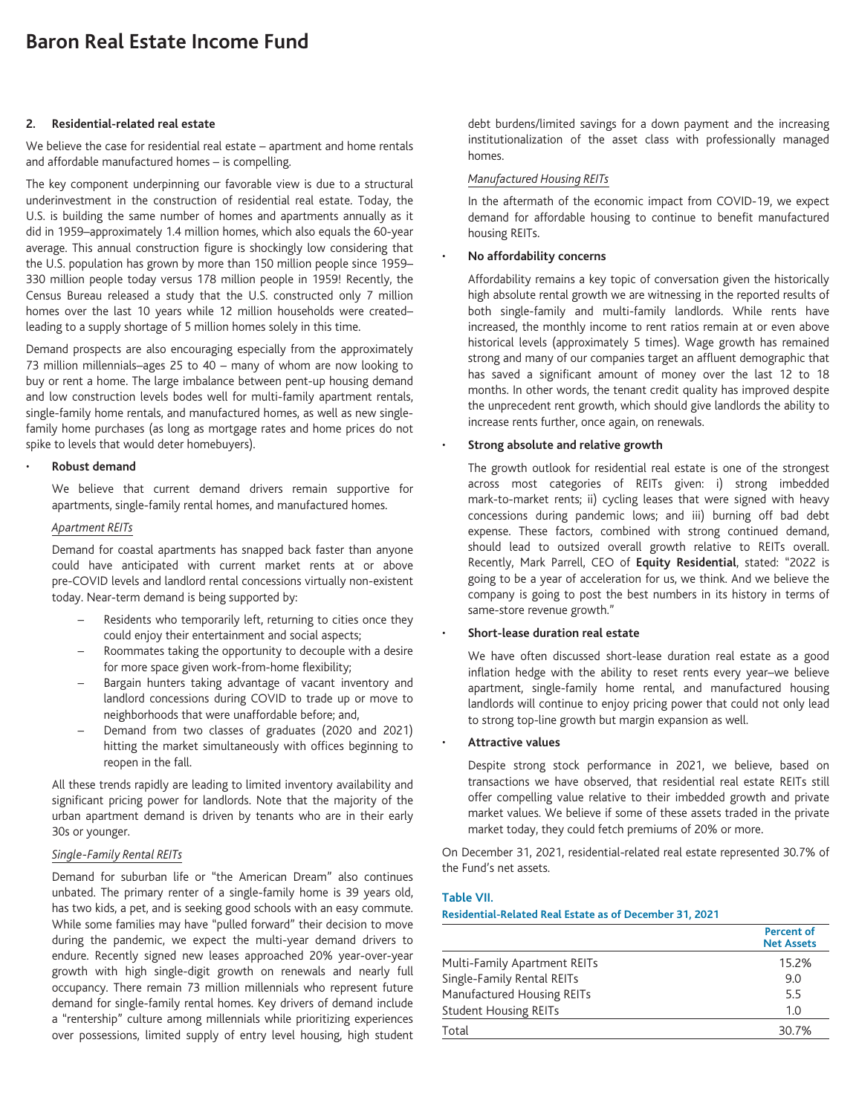# **2. Residential-related real estate**

We believe the case for residential real estate – apartment and home rentals and affordable manufactured homes – is compelling.

The key component underpinning our favorable view is due to a structural underinvestment in the construction of residential real estate. Today, the U.S. is building the same number of homes and apartments annually as it did in 1959–approximately 1.4 million homes, which also equals the 60-year average. This annual construction figure is shockingly low considering that the U.S. population has grown by more than 150 million people since 1959– 330 million people today versus 178 million people in 1959! Recently, the Census Bureau released a study that the U.S. constructed only 7 million homes over the last 10 years while 12 million households were created– leading to a supply shortage of 5 million homes solely in this time.

Demand prospects are also encouraging especially from the approximately 73 million millennials–ages 25 to 40 – many of whom are now looking to buy or rent a home. The large imbalance between pent-up housing demand and low construction levels bodes well for multi-family apartment rentals, single-family home rentals, and manufactured homes, as well as new singlefamily home purchases (as long as mortgage rates and home prices do not spike to levels that would deter homebuyers).

#### • **Robust demand**

We believe that current demand drivers remain supportive for apartments, single-family rental homes, and manufactured homes.

# *Apartment REITs*

Demand for coastal apartments has snapped back faster than anyone could have anticipated with current market rents at or above pre-COVID levels and landlord rental concessions virtually non-existent today. Near-term demand is being supported by:

- Residents who temporarily left, returning to cities once they could enjoy their entertainment and social aspects;
- Roommates taking the opportunity to decouple with a desire for more space given work-from-home flexibility;
- Bargain hunters taking advantage of vacant inventory and landlord concessions during COVID to trade up or move to neighborhoods that were unaffordable before; and,
- Demand from two classes of graduates (2020 and 2021) hitting the market simultaneously with offices beginning to reopen in the fall.

All these trends rapidly are leading to limited inventory availability and significant pricing power for landlords. Note that the majority of the urban apartment demand is driven by tenants who are in their early 30s or younger.

# *Single-Family Rental REITs*

Demand for suburban life or "the American Dream" also continues unbated. The primary renter of a single-family home is 39 years old, has two kids, a pet, and is seeking good schools with an easy commute. While some families may have "pulled forward" their decision to move during the pandemic, we expect the multi-year demand drivers to endure. Recently signed new leases approached 20% year-over-year growth with high single-digit growth on renewals and nearly full occupancy. There remain 73 million millennials who represent future demand for single-family rental homes. Key drivers of demand include a "rentership" culture among millennials while prioritizing experiences over possessions, limited supply of entry level housing, high student debt burdens/limited savings for a down payment and the increasing institutionalization of the asset class with professionally managed homes.

## *Manufactured Housing REITs*

In the aftermath of the economic impact from COVID-19, we expect demand for affordable housing to continue to benefit manufactured housing REITs.

#### • **No affordability concerns**

Affordability remains a key topic of conversation given the historically high absolute rental growth we are witnessing in the reported results of both single-family and multi-family landlords. While rents have increased, the monthly income to rent ratios remain at or even above historical levels (approximately 5 times). Wage growth has remained strong and many of our companies target an affluent demographic that has saved a significant amount of money over the last 12 to 18 months. In other words, the tenant credit quality has improved despite the unprecedent rent growth, which should give landlords the ability to increase rents further, once again, on renewals.

## • **Strong absolute and relative growth**

The growth outlook for residential real estate is one of the strongest across most categories of REITs given: i) strong imbedded mark-to-market rents; ii) cycling leases that were signed with heavy concessions during pandemic lows; and iii) burning off bad debt expense. These factors, combined with strong continued demand, should lead to outsized overall growth relative to REITs overall. Recently, Mark Parrell, CEO of **Equity Residential**, stated: "2022 is going to be a year of acceleration for us, we think. And we believe the company is going to post the best numbers in its history in terms of same-store revenue growth."

# • **Short-lease duration real estate**

We have often discussed short-lease duration real estate as a good inflation hedge with the ability to reset rents every year–we believe apartment, single-family home rental, and manufactured housing landlords will continue to enjoy pricing power that could not only lead to strong top-line growth but margin expansion as well.

#### • **Attractive values**

Despite strong stock performance in 2021, we believe, based on transactions we have observed, that residential real estate REITs still offer compelling value relative to their imbedded growth and private market values. We believe if some of these assets traded in the private market today, they could fetch premiums of 20% or more.

On December 31, 2021, residential-related real estate represented 30.7% of the Fund's net assets.

#### **Table VII.**

## **Residential-Related Real Estate as of December 31, 2021**

|                              | <b>Percent of</b><br><b>Net Assets</b> |
|------------------------------|----------------------------------------|
| Multi-Family Apartment REITs | 15.2%                                  |
| Single-Family Rental REITs   | 9.0                                    |
| Manufactured Housing REITs   | 5.5                                    |
| <b>Student Housing REITs</b> | 1.0                                    |
| Total                        | 30.7%                                  |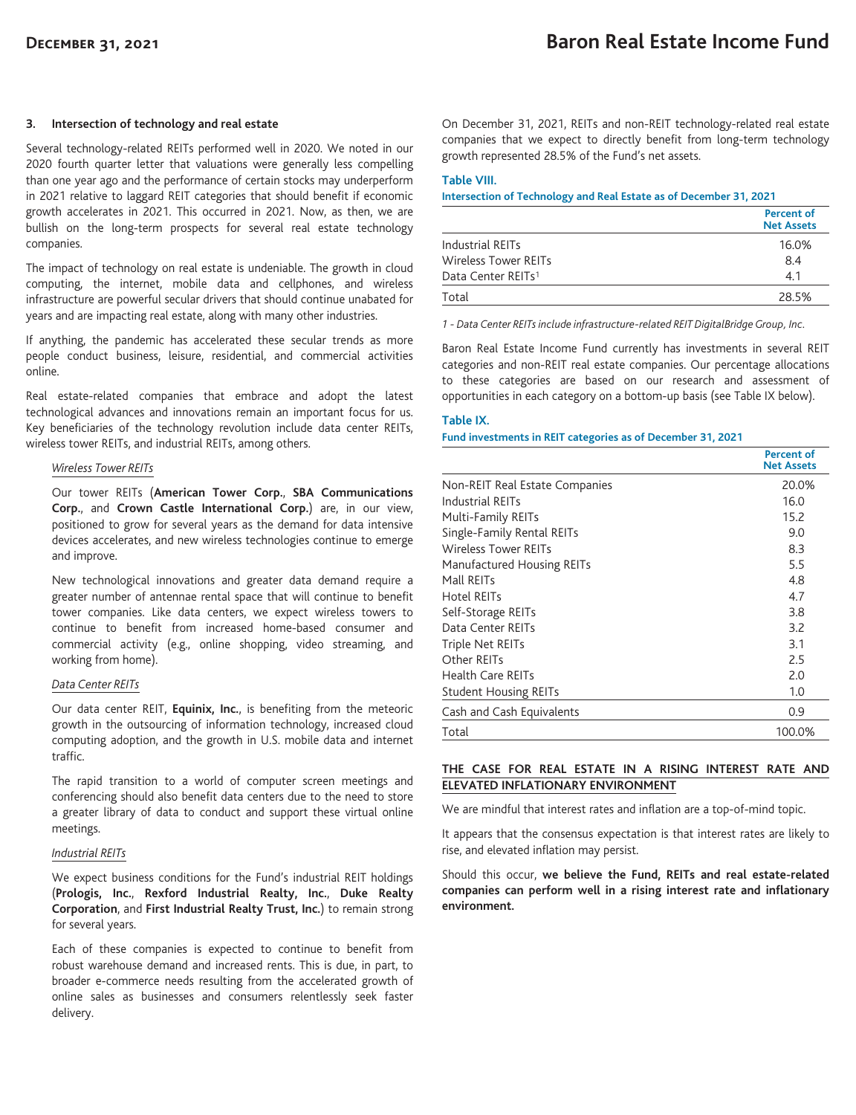#### **3. Intersection of technology and real estate**

Several technology-related REITs performed well in 2020. We noted in our 2020 fourth quarter letter that valuations were generally less compelling than one year ago and the performance of certain stocks may underperform in 2021 relative to laggard REIT categories that should benefit if economic growth accelerates in 2021. This occurred in 2021. Now, as then, we are bullish on the long-term prospects for several real estate technology companies.

The impact of technology on real estate is undeniable. The growth in cloud computing, the internet, mobile data and cellphones, and wireless infrastructure are powerful secular drivers that should continue unabated for years and are impacting real estate, along with many other industries.

If anything, the pandemic has accelerated these secular trends as more people conduct business, leisure, residential, and commercial activities online.

Real estate-related companies that embrace and adopt the latest technological advances and innovations remain an important focus for us. Key beneficiaries of the technology revolution include data center REITs, wireless tower REITs, and industrial REITs, among others.

#### *Wireless Tower REITs*

Our tower REITs (**American Tower Corp.**, **SBA Communications Corp.**, and **Crown Castle International Corp.**) are, in our view, positioned to grow for several years as the demand for data intensive devices accelerates, and new wireless technologies continue to emerge and improve.

New technological innovations and greater data demand require a greater number of antennae rental space that will continue to benefit tower companies. Like data centers, we expect wireless towers to continue to benefit from increased home-based consumer and commercial activity (e.g., online shopping, video streaming, and working from home).

#### *Data Center REITs*

Our data center REIT, **Equinix, Inc.**, is benefiting from the meteoric growth in the outsourcing of information technology, increased cloud computing adoption, and the growth in U.S. mobile data and internet traffic.

The rapid transition to a world of computer screen meetings and conferencing should also benefit data centers due to the need to store a greater library of data to conduct and support these virtual online meetings.

#### *Industrial REITs*

We expect business conditions for the Fund's industrial REIT holdings (**Prologis, Inc.**, **Rexford Industrial Realty, Inc.**, **Duke Realty Corporation**, and **First Industrial Realty Trust, Inc.**) to remain strong for several years.

Each of these companies is expected to continue to benefit from robust warehouse demand and increased rents. This is due, in part, to broader e-commerce needs resulting from the accelerated growth of online sales as businesses and consumers relentlessly seek faster delivery.

On December 31, 2021, REITs and non-REIT technology-related real estate companies that we expect to directly benefit from long-term technology growth represented 28.5% of the Fund's net assets.

#### **Table VIII.**

**Intersection of Technology and Real Estate as of December 31, 2021**

|                                | Percent of<br><b>Net Assets</b> |
|--------------------------------|---------------------------------|
| Industrial REITs               | 16.0%                           |
| Wireless Tower REITs           | 8.4                             |
| Data Center REITs <sup>1</sup> | 4.1                             |
| Total                          | 28.5%                           |

*1 - Data Center REITs include infrastructure-related REIT DigitalBridge Group, Inc.*

Baron Real Estate Income Fund currently has investments in several REIT categories and non-REIT real estate companies. Our percentage allocations to these categories are based on our research and assessment of opportunities in each category on a bottom-up basis (see Table IX below).

#### **Table IX.**

### **Fund investments in REIT categories as of December 31, 2021**

|                                | Percent of<br><b>Net Assets</b> |
|--------------------------------|---------------------------------|
| Non-REIT Real Estate Companies | 20.0%                           |
| <b>Industrial REITs</b>        | 16.0                            |
| Multi-Family REITs             | 15.2                            |
| Single-Family Rental REITs     | 9.0                             |
| <b>Wireless Tower REITs</b>    | 8.3                             |
| Manufactured Housing REITs     | 5.5                             |
| Mall REITs                     | 4.8                             |
| Hotel REITs                    | 4.7                             |
| Self-Storage REITs             | 3.8                             |
| Data Center REITs              | 3.2                             |
| Triple Net REITs               | 3.1                             |
| Other REITs                    | 2.5                             |
| <b>Health Care REITs</b>       | 2.0                             |
| <b>Student Housing REITs</b>   | 1.0                             |
| Cash and Cash Equivalents      | 0.9                             |
| Total                          | 100.0%                          |

# **THE CASE FOR REAL ESTATE IN A RISING INTEREST RATE AND ELEVATED INFLATIONARY ENVIRONMENT**

We are mindful that interest rates and inflation are a top-of-mind topic.

It appears that the consensus expectation is that interest rates are likely to rise, and elevated inflation may persist.

Should this occur, **we believe the Fund, REITs and real estate-related companies can perform well in a rising interest rate and inflationary environment.**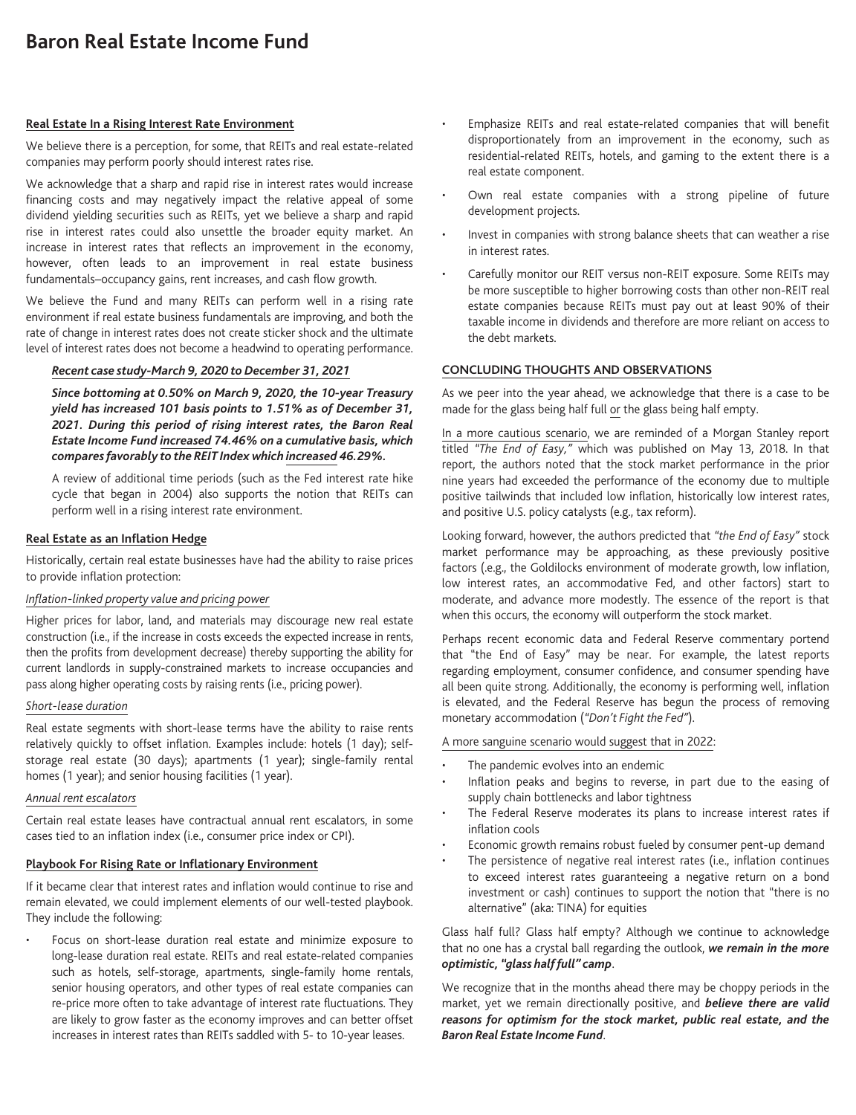# **Baron Real Estate Income Fund**

## **Real Estate In a Rising Interest Rate Environment**

We believe there is a perception, for some, that REITs and real estate-related companies may perform poorly should interest rates rise.

We acknowledge that a sharp and rapid rise in interest rates would increase financing costs and may negatively impact the relative appeal of some dividend yielding securities such as REITs, yet we believe a sharp and rapid rise in interest rates could also unsettle the broader equity market. An increase in interest rates that reflects an improvement in the economy, however, often leads to an improvement in real estate business fundamentals–occupancy gains, rent increases, and cash flow growth.

We believe the Fund and many REITs can perform well in a rising rate environment if real estate business fundamentals are improving, and both the rate of change in interest rates does not create sticker shock and the ultimate level of interest rates does not become a headwind to operating performance.

# *Recent case study-March 9, 2020 to December 31, 2021*

*Since bottoming at 0.50% on March 9, 2020, the 10-year Treasury yield has increased 101 basis points to 1.51% as of December 31, 2021. During this period of rising interest rates, the Baron Real Estate Income Fund increased 74.46% on a cumulative basis, which compares favorably to the REIT Index which increased 46.29%.*

A review of additional time periods (such as the Fed interest rate hike cycle that began in 2004) also supports the notion that REITs can perform well in a rising interest rate environment.

## **Real Estate as an Inflation Hedge**

Historically, certain real estate businesses have had the ability to raise prices to provide inflation protection:

## *Inflation-linked property value and pricing power*

Higher prices for labor, land, and materials may discourage new real estate construction (i.e., if the increase in costs exceeds the expected increase in rents, then the profits from development decrease) thereby supporting the ability for current landlords in supply-constrained markets to increase occupancies and pass along higher operating costs by raising rents (i.e., pricing power).

#### *Short-lease duration*

Real estate segments with short-lease terms have the ability to raise rents relatively quickly to offset inflation. Examples include: hotels (1 day); selfstorage real estate (30 days); apartments (1 year); single-family rental homes (1 year); and senior housing facilities (1 year).

## *Annual rent escalators*

Certain real estate leases have contractual annual rent escalators, in some cases tied to an inflation index (i.e., consumer price index or CPI).

## **Playbook For Rising Rate or Inflationary Environment**

If it became clear that interest rates and inflation would continue to rise and remain elevated, we could implement elements of our well-tested playbook. They include the following:

• Focus on short-lease duration real estate and minimize exposure to long-lease duration real estate. REITs and real estate-related companies such as hotels, self-storage, apartments, single-family home rentals, senior housing operators, and other types of real estate companies can re-price more often to take advantage of interest rate fluctuations. They are likely to grow faster as the economy improves and can better offset increases in interest rates than REITs saddled with 5- to 10-year leases.

- Emphasize REITs and real estate-related companies that will benefit disproportionately from an improvement in the economy, such as residential-related REITs, hotels, and gaming to the extent there is a real estate component.
- Own real estate companies with a strong pipeline of future development projects.
- Invest in companies with strong balance sheets that can weather a rise in interest rates.
- Carefully monitor our REIT versus non-REIT exposure. Some REITs may be more susceptible to higher borrowing costs than other non-REIT real estate companies because REITs must pay out at least 90% of their taxable income in dividends and therefore are more reliant on access to the debt markets.

#### **CONCLUDING THOUGHTS AND OBSERVATIONS**

As we peer into the year ahead, we acknowledge that there is a case to be made for the glass being half full or the glass being half empty.

In a more cautious scenario, we are reminded of a Morgan Stanley report titled *"The End of Easy,"* which was published on May 13, 2018. In that report, the authors noted that the stock market performance in the prior nine years had exceeded the performance of the economy due to multiple positive tailwinds that included low inflation, historically low interest rates, and positive U.S. policy catalysts (e.g., tax reform).

Looking forward, however, the authors predicted that *"the End of Easy"* stock market performance may be approaching, as these previously positive factors (.e.g., the Goldilocks environment of moderate growth, low inflation, low interest rates, an accommodative Fed, and other factors) start to moderate, and advance more modestly. The essence of the report is that when this occurs, the economy will outperform the stock market.

Perhaps recent economic data and Federal Reserve commentary portend that "the End of Easy" may be near. For example, the latest reports regarding employment, consumer confidence, and consumer spending have all been quite strong. Additionally, the economy is performing well, inflation is elevated, and the Federal Reserve has begun the process of removing monetary accommodation (*"Don't Fight the Fed"*).

#### A more sanguine scenario would suggest that in 2022:

- The pandemic evolves into an endemic
- Inflation peaks and begins to reverse, in part due to the easing of supply chain bottlenecks and labor tightness
- The Federal Reserve moderates its plans to increase interest rates if inflation cools
- Economic growth remains robust fueled by consumer pent-up demand
- The persistence of negative real interest rates (i.e., inflation continues to exceed interest rates guaranteeing a negative return on a bond investment or cash) continues to support the notion that "there is no alternative" (aka: TINA) for equities

Glass half full? Glass half empty? Although we continue to acknowledge that no one has a crystal ball regarding the outlook, *we remain in the more optimistic, "glass half full" camp*.

We recognize that in the months ahead there may be choppy periods in the market, yet we remain directionally positive, and *believe there are valid reasons for optimism for the stock market, public real estate, and the Baron Real Estate Income Fund*.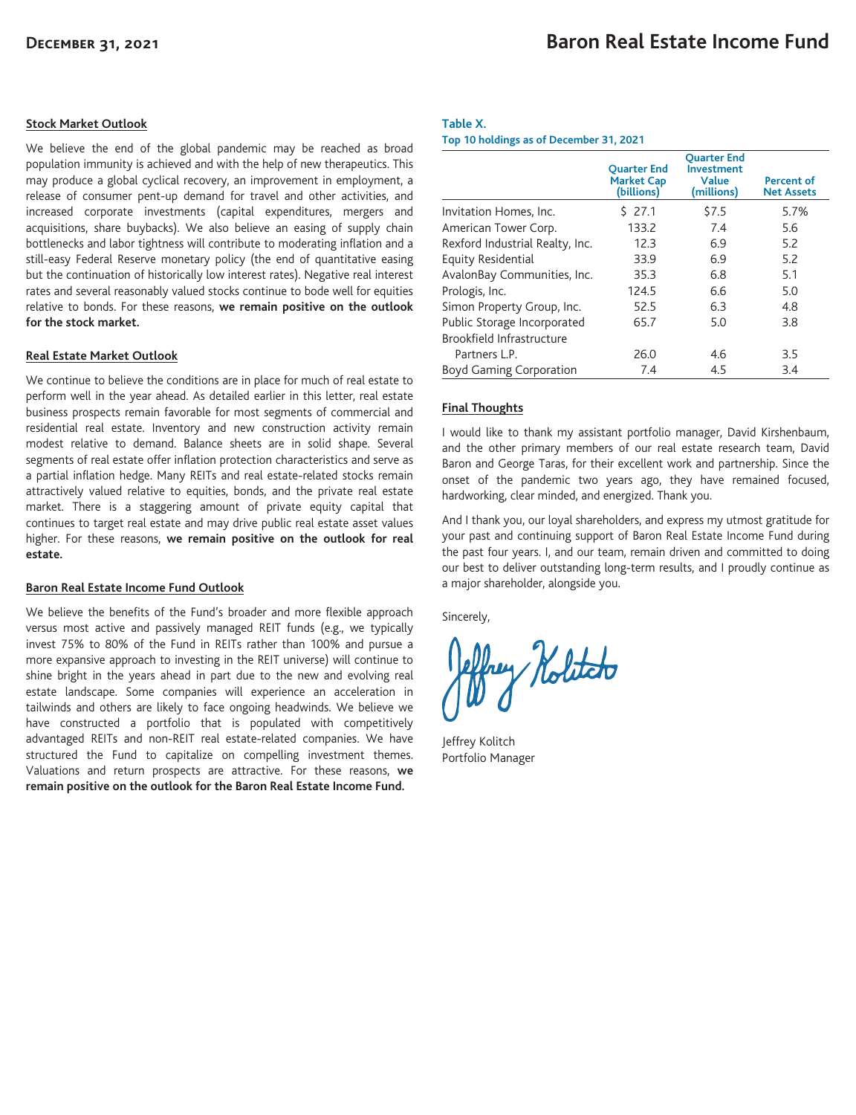## **Stock Market Outlook**

We believe the end of the global pandemic may be reached as broad population immunity is achieved and with the help of new therapeutics. This may produce a global cyclical recovery, an improvement in employment, a release of consumer pent-up demand for travel and other activities, and increased corporate investments (capital expenditures, mergers and acquisitions, share buybacks). We also believe an easing of supply chain bottlenecks and labor tightness will contribute to moderating inflation and a still-easy Federal Reserve monetary policy (the end of quantitative easing but the continuation of historically low interest rates). Negative real interest rates and several reasonably valued stocks continue to bode well for equities relative to bonds. For these reasons, **we remain positive on the outlook for the stock market.**

#### **Real Estate Market Outlook**

We continue to believe the conditions are in place for much of real estate to perform well in the year ahead. As detailed earlier in this letter, real estate business prospects remain favorable for most segments of commercial and residential real estate. Inventory and new construction activity remain modest relative to demand. Balance sheets are in solid shape. Several segments of real estate offer inflation protection characteristics and serve as a partial inflation hedge. Many REITs and real estate-related stocks remain attractively valued relative to equities, bonds, and the private real estate market. There is a staggering amount of private equity capital that continues to target real estate and may drive public real estate asset values higher. For these reasons, **we remain positive on the outlook for real estate.**

#### **Baron Real Estate Income Fund Outlook**

We believe the benefits of the Fund's broader and more flexible approach versus most active and passively managed REIT funds (e.g., we typically invest 75% to 80% of the Fund in REITs rather than 100% and pursue a more expansive approach to investing in the REIT universe) will continue to shine bright in the years ahead in part due to the new and evolving real estate landscape. Some companies will experience an acceleration in tailwinds and others are likely to face ongoing headwinds. We believe we have constructed a portfolio that is populated with competitively advantaged REITs and non-REIT real estate-related companies. We have structured the Fund to capitalize on compelling investment themes. Valuations and return prospects are attractive. For these reasons, **we remain positive on the outlook for the Baron Real Estate Income Fund.**

#### **Table X.**

**Top 10 holdings as of December 31, 2021**

|                                 | <b>Ouarter End</b><br><b>Market Cap</b><br>(billions) | <b>Ouarter End</b><br><b>Investment</b><br>Value<br>(millions) | Percent of<br><b>Net Assets</b> |
|---------------------------------|-------------------------------------------------------|----------------------------------------------------------------|---------------------------------|
| Invitation Homes, Inc.          | \$27.1                                                | \$7.5                                                          | 5.7%                            |
| American Tower Corp.            | 133.2                                                 | 7.4                                                            | 5.6                             |
| Rexford Industrial Realty, Inc. | 12.3                                                  | 6.9                                                            | 5.2                             |
| Equity Residential              | 33.9                                                  | 6.9                                                            | 5.2                             |
| AvalonBay Communities, Inc.     | 35.3                                                  | 6.8                                                            | 5.1                             |
| Prologis, Inc.                  | 124.5                                                 | 6.6                                                            | 5.0                             |
| Simon Property Group, Inc.      | 52.5                                                  | 6.3                                                            | 4.8                             |
| Public Storage Incorporated     | 65.7                                                  | 5.0                                                            | 3.8                             |
| Brookfield Infrastructure       |                                                       |                                                                |                                 |
| Partners L.P.                   | 26.0                                                  | 4.6                                                            | 3.5                             |
| <b>Boyd Gaming Corporation</b>  | 7.4                                                   | 4.5                                                            | 3.4                             |

## **Final Thoughts**

I would like to thank my assistant portfolio manager, David Kirshenbaum, and the other primary members of our real estate research team, David Baron and George Taras, for their excellent work and partnership. Since the onset of the pandemic two years ago, they have remained focused, hardworking, clear minded, and energized. Thank you.

And I thank you, our loyal shareholders, and express my utmost gratitude for your past and continuing support of Baron Real Estate Income Fund during the past four years. I, and our team, remain driven and committed to doing our best to deliver outstanding long-term results, and I proudly continue as a major shareholder, alongside you.

Sincerely,

ney Nolitato

Jeffrey Kolitch Portfolio Manager